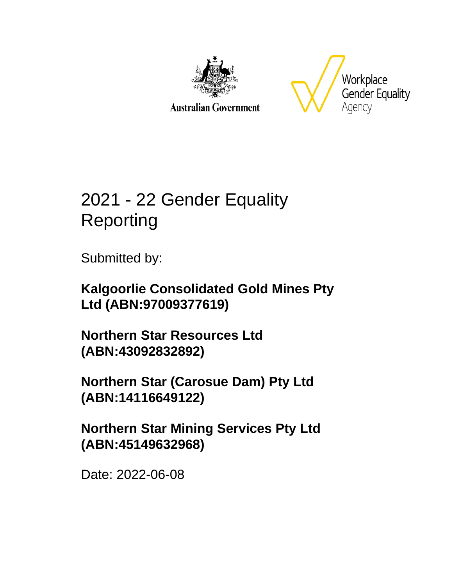

**Australian Government** 



# 2021 - 22 Gender Equality Reporting

Submitted by:

**Kalgoorlie Consolidated Gold Mines Pty Ltd (ABN:97009377619)**

**Northern Star Resources Ltd (ABN:43092832892)**

**Northern Star (Carosue Dam) Pty Ltd (ABN:14116649122)**

**Northern Star Mining Services Pty Ltd (ABN:45149632968)**

Date: 2022-06-08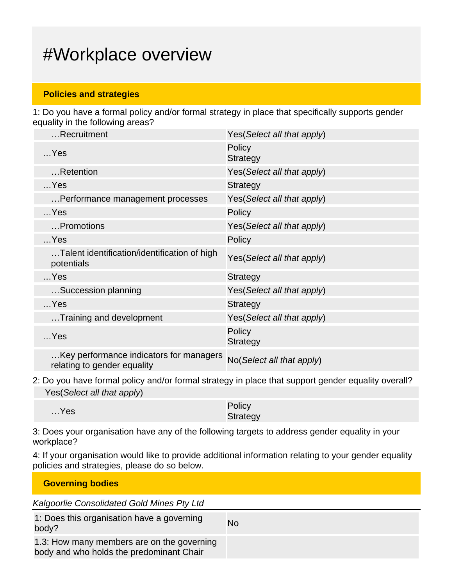# #Workplace overview

### **Policies and strategies**

1: Do you have a formal policy and/or formal strategy in place that specifically supports gender equality in the following areas?

| Recruitment                                                            | Yes (Select all that apply) |
|------------------------------------------------------------------------|-----------------------------|
| $$ Yes                                                                 | Policy<br><b>Strategy</b>   |
| Retention                                                              | Yes(Select all that apply)  |
| $$ Yes                                                                 | <b>Strategy</b>             |
| Performance management processes                                       | Yes(Select all that apply)  |
| $$ Yes                                                                 | Policy                      |
| Promotions                                                             | Yes (Select all that apply) |
| $$ Yes                                                                 | Policy                      |
| Talent identification/identification of high<br>potentials             | Yes(Select all that apply)  |
| $$ Yes                                                                 | <b>Strategy</b>             |
| Succession planning                                                    | Yes (Select all that apply) |
| $$ Yes                                                                 | <b>Strategy</b>             |
| Training and development                                               | Yes (Select all that apply) |
| $$ Yes                                                                 | Policy<br><b>Strategy</b>   |
| Key performance indicators for managers<br>relating to gender equality | No(Select all that apply)   |

2: Do you have formal policy and/or formal strategy in place that support gender equality overall? Yes(Select all that apply)

| $$ Yes | Policy   |
|--------|----------|
|        | Strategy |

3: Does your organisation have any of the following targets to address gender equality in your workplace?

4: If your organisation would like to provide additional information relating to your gender equality policies and strategies, please do so below.

| <b>Governing bodies</b>                                                                |    |
|----------------------------------------------------------------------------------------|----|
| Kalgoorlie Consolidated Gold Mines Pty Ltd                                             |    |
| 1: Does this organisation have a governing<br>body?                                    | No |
| 1.3: How many members are on the governing<br>body and who holds the predominant Chair |    |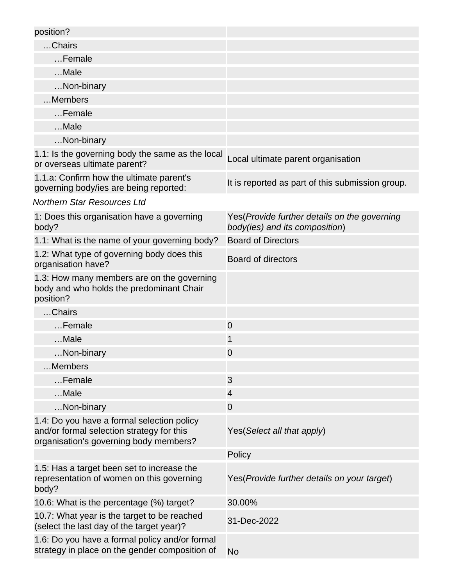| position?                                                                                                                         |                                                                                 |
|-----------------------------------------------------------------------------------------------------------------------------------|---------------------------------------------------------------------------------|
| Chairs                                                                                                                            |                                                                                 |
| Female                                                                                                                            |                                                                                 |
| Male                                                                                                                              |                                                                                 |
| Non-binary                                                                                                                        |                                                                                 |
| Members                                                                                                                           |                                                                                 |
| Female                                                                                                                            |                                                                                 |
| Male                                                                                                                              |                                                                                 |
| Non-binary                                                                                                                        |                                                                                 |
| 1.1: Is the governing body the same as the local<br>or overseas ultimate parent?                                                  | Local ultimate parent organisation                                              |
| 1.1.a: Confirm how the ultimate parent's<br>governing body/ies are being reported:                                                | It is reported as part of this submission group.                                |
| <b>Northern Star Resources Ltd</b>                                                                                                |                                                                                 |
| 1: Does this organisation have a governing<br>body?                                                                               | Yes (Provide further details on the governing<br>body(ies) and its composition) |
| 1.1: What is the name of your governing body?                                                                                     | <b>Board of Directors</b>                                                       |
| 1.2: What type of governing body does this<br>organisation have?                                                                  | Board of directors                                                              |
| 1.3: How many members are on the governing<br>body and who holds the predominant Chair<br>position?                               |                                                                                 |
| Chairs                                                                                                                            |                                                                                 |
| Female                                                                                                                            | $\mathbf 0$                                                                     |
| Male                                                                                                                              | 1                                                                               |
| Non-binary                                                                                                                        | 0                                                                               |
| Members                                                                                                                           |                                                                                 |
| Female                                                                                                                            | 3                                                                               |
| Male                                                                                                                              | $\overline{4}$                                                                  |
| Non-binary                                                                                                                        | $\overline{0}$                                                                  |
| 1.4: Do you have a formal selection policy<br>and/or formal selection strategy for this<br>organisation's governing body members? | Yes (Select all that apply)                                                     |
|                                                                                                                                   | Policy                                                                          |
| 1.5: Has a target been set to increase the<br>representation of women on this governing<br>body?                                  | Yes (Provide further details on your target)                                    |
| 10.6: What is the percentage (%) target?                                                                                          | 30.00%                                                                          |
| 10.7: What year is the target to be reached<br>(select the last day of the target year)?                                          | 31-Dec-2022                                                                     |
| 1.6: Do you have a formal policy and/or formal<br>strategy in place on the gender composition of                                  | <b>No</b>                                                                       |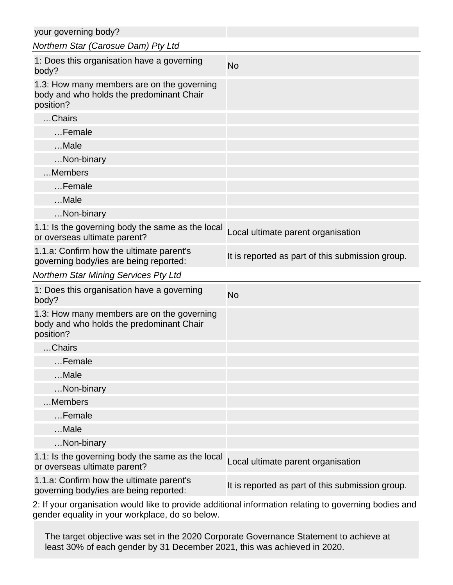| your governing body?                                                                                |                                                  |
|-----------------------------------------------------------------------------------------------------|--------------------------------------------------|
| Northern Star (Carosue Dam) Pty Ltd                                                                 |                                                  |
| 1: Does this organisation have a governing<br>body?                                                 | <b>No</b>                                        |
| 1.3: How many members are on the governing<br>body and who holds the predominant Chair<br>position? |                                                  |
| Chairs                                                                                              |                                                  |
| Female                                                                                              |                                                  |
| $$ Male                                                                                             |                                                  |
| Non-binary                                                                                          |                                                  |
| Members                                                                                             |                                                  |
| Female                                                                                              |                                                  |
| Male                                                                                                |                                                  |
| Non-binary                                                                                          |                                                  |
| 1.1: Is the governing body the same as the local<br>or overseas ultimate parent?                    | Local ultimate parent organisation               |
| 1.1.a: Confirm how the ultimate parent's<br>governing body/ies are being reported:                  | It is reported as part of this submission group. |
| <b>Northern Star Mining Services Pty Ltd</b>                                                        |                                                  |
| 1: Does this organisation have a governing<br>body?                                                 | <b>No</b>                                        |
| 1.3: How many members are on the governing<br>body and who holds the predominant Chair<br>position? |                                                  |
| Chairs                                                                                              |                                                  |
| Female                                                                                              |                                                  |
| Male                                                                                                |                                                  |
| Non-binary                                                                                          |                                                  |
| Members                                                                                             |                                                  |
| Female                                                                                              |                                                  |
| Male                                                                                                |                                                  |
| Non-binary                                                                                          |                                                  |
| 1.1: Is the governing body the same as the local<br>or overseas ultimate parent?                    | Local ultimate parent organisation               |
| 1.1.a: Confirm how the ultimate parent's                                                            | It is reported as part of this submission group. |

2: If your organisation would like to provide additional information relating to governing bodies and gender equality in your workplace, do so below.

The target objective was set in the 2020 Corporate Governance Statement to achieve at least 30% of each gender by 31 December 2021, this was achieved in 2020.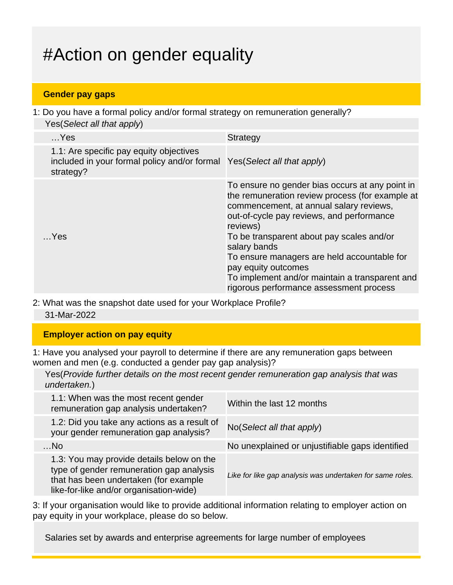# #Action on gender equality

### **Gender pay gaps**

1: Do you have a formal policy and/or formal strategy on remuneration generally? Yes(Select all that apply)

| $$ Yes                                                                                                                           | <b>Strategy</b>                                                                                                                                                                                                                                                                                                                                                                                                                        |
|----------------------------------------------------------------------------------------------------------------------------------|----------------------------------------------------------------------------------------------------------------------------------------------------------------------------------------------------------------------------------------------------------------------------------------------------------------------------------------------------------------------------------------------------------------------------------------|
| 1.1: Are specific pay equity objectives<br>included in your formal policy and/or formal Yes (Select all that apply)<br>strategy? |                                                                                                                                                                                                                                                                                                                                                                                                                                        |
| $$ Yes                                                                                                                           | To ensure no gender bias occurs at any point in<br>the remuneration review process (for example at<br>commencement, at annual salary reviews,<br>out-of-cycle pay reviews, and performance<br>reviews)<br>To be transparent about pay scales and/or<br>salary bands<br>To ensure managers are held accountable for<br>pay equity outcomes<br>To implement and/or maintain a transparent and<br>rigorous performance assessment process |

2: What was the snapshot date used for your Workplace Profile?

31-Mar-2022

### **Employer action on pay equity**

1: Have you analysed your payroll to determine if there are any remuneration gaps between women and men (e.g. conducted a gender pay gap analysis)?

Yes(Provide further details on the most recent gender remuneration gap analysis that was undertaken.)

| 1.1: When was the most recent gender<br>remuneration gap analysis undertaken?                                                                                             | Within the last 12 months                                 |
|---------------------------------------------------------------------------------------------------------------------------------------------------------------------------|-----------------------------------------------------------|
| 1.2: Did you take any actions as a result of<br>your gender remuneration gap analysis?                                                                                    | No(Select all that apply)                                 |
| $$ No                                                                                                                                                                     | No unexplained or unjustifiable gaps identified           |
| 1.3: You may provide details below on the<br>type of gender remuneration gap analysis<br>that has been undertaken (for example<br>like-for-like and/or organisation-wide) | Like for like gap analysis was undertaken for same roles. |

3: If your organisation would like to provide additional information relating to employer action on pay equity in your workplace, please do so below.

Salaries set by awards and enterprise agreements for large number of employees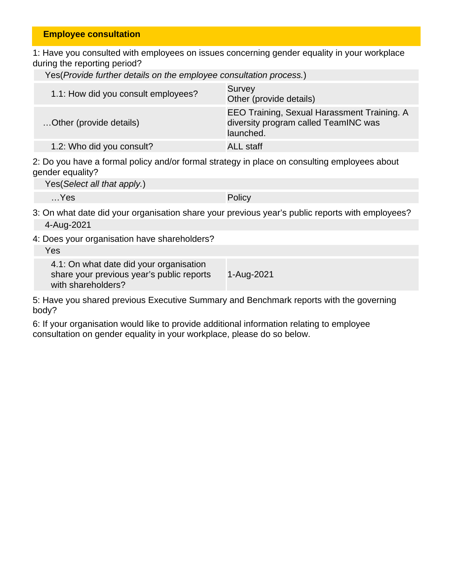#### **Employee consultation**

1: Have you consulted with employees on issues concerning gender equality in your workplace during the reporting period?

|  |  |  |  |  |  |  | Yes(Provide further details on the employee consultation process.) |  |  |
|--|--|--|--|--|--|--|--------------------------------------------------------------------|--|--|
|--|--|--|--|--|--|--|--------------------------------------------------------------------|--|--|

| 1.1: How did you consult employees? | Survey<br>Other (provide details)                                                                |
|-------------------------------------|--------------------------------------------------------------------------------------------------|
| Other (provide details)             | EEO Training, Sexual Harassment Training. A<br>diversity program called TeamINC was<br>launched. |
| 1.2: Who did you consult?           | ALL staff                                                                                        |

2: Do you have a formal policy and/or formal strategy in place on consulting employees about gender equality?

Yes(Select all that apply.)

…Yes Policy

- 3: On what date did your organisation share your previous year's public reports with employees? 4-Aug-2021
- 4: Does your organisation have shareholders?

Yes

4.1: On what date did your organisation share your previous year's public reports with shareholders? 1-Aug-2021

5: Have you shared previous Executive Summary and Benchmark reports with the governing body?

6: If your organisation would like to provide additional information relating to employee consultation on gender equality in your workplace, please do so below.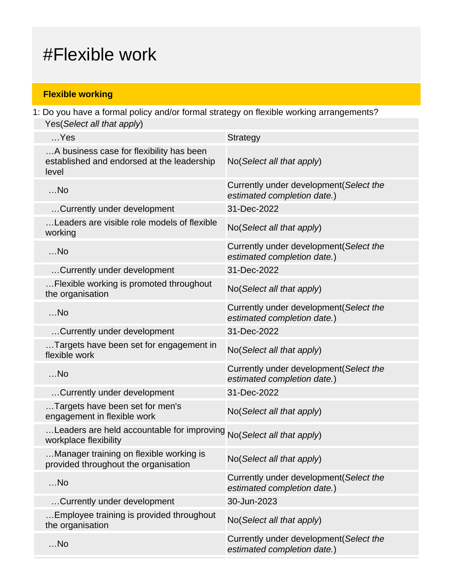# #Flexible work

## **Flexible working**

1: Do you have a formal policy and/or formal strategy on flexible working arrangements? Yes(Select all that apply)

| $$ Yes                                                                                          | <b>Strategy</b>                                                        |
|-------------------------------------------------------------------------------------------------|------------------------------------------------------------------------|
| A business case for flexibility has been<br>established and endorsed at the leadership<br>level | No(Select all that apply)                                              |
| $$ No                                                                                           | Currently under development (Select the<br>estimated completion date.) |
| Currently under development                                                                     | 31-Dec-2022                                                            |
| Leaders are visible role models of flexible<br>working                                          | No(Select all that apply)                                              |
| $$ No                                                                                           | Currently under development (Select the<br>estimated completion date.) |
| Currently under development                                                                     | 31-Dec-2022                                                            |
| Flexible working is promoted throughout<br>the organisation                                     | No(Select all that apply)                                              |
| $$ No                                                                                           | Currently under development (Select the<br>estimated completion date.) |
| Currently under development                                                                     | 31-Dec-2022                                                            |
| Targets have been set for engagement in<br>flexible work                                        | No(Select all that apply)                                              |
| $$ No                                                                                           | Currently under development(Select the<br>estimated completion date.)  |
| Currently under development                                                                     | 31-Dec-2022                                                            |
| Targets have been set for men's<br>engagement in flexible work                                  | No(Select all that apply)                                              |
| Leaders are held accountable for improving No(Select all that apply)<br>workplace flexibility   |                                                                        |
| Manager training on flexible working is<br>provided throughout the organisation                 | No(Select all that apply)                                              |
| $$ No                                                                                           | Currently under development (Select the<br>estimated completion date.) |
| Currently under development                                                                     | 30-Jun-2023                                                            |
| Employee training is provided throughout<br>the organisation                                    | No(Select all that apply)                                              |
| $$ No                                                                                           | Currently under development (Select the<br>estimated completion date.) |
|                                                                                                 |                                                                        |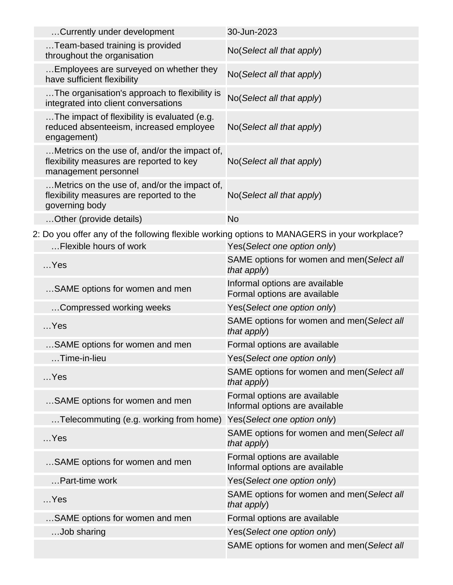| Currently under development                                                                                      | 30-Jun-2023                                                    |
|------------------------------------------------------------------------------------------------------------------|----------------------------------------------------------------|
| Team-based training is provided<br>throughout the organisation                                                   | No(Select all that apply)                                      |
| Employees are surveyed on whether they<br>have sufficient flexibility                                            | No(Select all that apply)                                      |
| The organisation's approach to flexibility is<br>integrated into client conversations                            | No(Select all that apply)                                      |
| The impact of flexibility is evaluated (e.g.<br>reduced absenteeism, increased employee<br>engagement)           | No(Select all that apply)                                      |
| Metrics on the use of, and/or the impact of,<br>flexibility measures are reported to key<br>management personnel | No(Select all that apply)                                      |
| Metrics on the use of, and/or the impact of,<br>flexibility measures are reported to the<br>governing body       | No(Select all that apply)                                      |
| Other (provide details)                                                                                          | <b>No</b>                                                      |
| 2: Do you offer any of the following flexible working options to MANAGERS in your workplace?                     |                                                                |
| Flexible hours of work                                                                                           | Yes(Select one option only)                                    |
| $$ Yes                                                                                                           | SAME options for women and men(Select all<br>that $apply$ )    |
| SAME options for women and men                                                                                   | Informal options are available<br>Formal options are available |
| Compressed working weeks                                                                                         | Yes(Select one option only)                                    |
| $$ Yes                                                                                                           | SAME options for women and men(Select all<br>that apply)       |
| SAME options for women and men                                                                                   | Formal options are available                                   |
| $\dots$ Time-in-lieu                                                                                             | Yes(Select one option only)                                    |
|                                                                                                                  |                                                                |

| $$ Yes                                                              | SAME options for women and men(Select all<br>that apply)       |
|---------------------------------------------------------------------|----------------------------------------------------------------|
| SAME options for women and men                                      | Formal options are available<br>Informal options are available |
| Telecommuting (e.g. working from home) Yes (Select one option only) |                                                                |
| $$ Yes                                                              | SAME options for women and men(Select all<br>that apply)       |
| SAME options for women and men                                      | Formal options are available<br>Informal options are available |
| Part-time work                                                      | Yes (Select one option only)                                   |
| $$ Yes                                                              | SAME options for women and men(Select all<br>that apply)       |
| SAME options for women and men                                      | Formal options are available                                   |
| Job sharing                                                         | Yes (Select one option only)                                   |
|                                                                     | SAME options for women and men(Select all                      |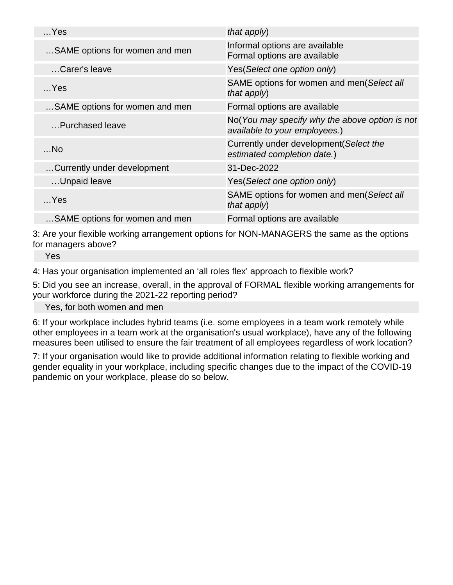| $$ Yes                         | that apply)                                                                     |
|--------------------------------|---------------------------------------------------------------------------------|
| SAME options for women and men | Informal options are available<br>Formal options are available                  |
| Carer's leave                  | Yes(Select one option only)                                                     |
| $$ Yes                         | SAME options for women and men(Select all<br>that apply)                        |
| SAME options for women and men | Formal options are available                                                    |
| Purchased leave                | No(You may specify why the above option is not<br>available to your employees.) |
| $$ No                          | Currently under development (Select the<br>estimated completion date.)          |
| Currently under development    | 31-Dec-2022                                                                     |
| Unpaid leave                   | Yes(Select one option only)                                                     |
| $$ Yes                         | SAME options for women and men(Select all<br>that apply)                        |
| SAME options for women and men | Formal options are available                                                    |

3: Are your flexible working arrangement options for NON-MANAGERS the same as the options for managers above?

Yes

4: Has your organisation implemented an 'all roles flex' approach to flexible work?

5: Did you see an increase, overall, in the approval of FORMAL flexible working arrangements for your workforce during the 2021-22 reporting period?

Yes, for both women and men

6: If your workplace includes hybrid teams (i.e. some employees in a team work remotely while other employees in a team work at the organisation's usual workplace), have any of the following measures been utilised to ensure the fair treatment of all employees regardless of work location?

7: If your organisation would like to provide additional information relating to flexible working and gender equality in your workplace, including specific changes due to the impact of the COVID-19 pandemic on your workplace, please do so below.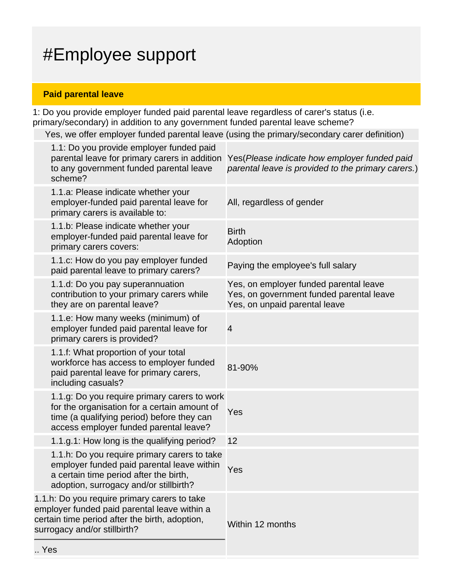# #Employee support

## **Paid parental leave**

 $\ddotsc$ 

1: Do you provide employer funded paid parental leave regardless of carer's status (i.e. primary/secondary) in addition to any government funded parental leave scheme?

Yes, we offer employer funded parental leave (using the primary/secondary carer definition)

| 1.1: Do you provide employer funded paid<br>parental leave for primary carers in addition<br>to any government funded parental leave<br>scheme?                                      | Yes (Please indicate how employer funded paid<br>parental leave is provided to the primary carers.)                 |
|--------------------------------------------------------------------------------------------------------------------------------------------------------------------------------------|---------------------------------------------------------------------------------------------------------------------|
| 1.1.a: Please indicate whether your<br>employer-funded paid parental leave for<br>primary carers is available to:                                                                    | All, regardless of gender                                                                                           |
| 1.1.b: Please indicate whether your<br>employer-funded paid parental leave for<br>primary carers covers:                                                                             | <b>Birth</b><br>Adoption                                                                                            |
| 1.1.c: How do you pay employer funded<br>paid parental leave to primary carers?                                                                                                      | Paying the employee's full salary                                                                                   |
| 1.1.d: Do you pay superannuation<br>contribution to your primary carers while<br>they are on parental leave?                                                                         | Yes, on employer funded parental leave<br>Yes, on government funded parental leave<br>Yes, on unpaid parental leave |
| 1.1.e: How many weeks (minimum) of<br>employer funded paid parental leave for<br>primary carers is provided?                                                                         | $\overline{4}$                                                                                                      |
| 1.1.f: What proportion of your total<br>workforce has access to employer funded<br>paid parental leave for primary carers,<br>including casuals?                                     | 81-90%                                                                                                              |
| 1.1.g: Do you require primary carers to work<br>for the organisation for a certain amount of<br>time (a qualifying period) before they can<br>access employer funded parental leave? | Yes                                                                                                                 |
| 1.1.g.1: How long is the qualifying period?                                                                                                                                          | 12                                                                                                                  |
| 1.1.h: Do you require primary carers to take<br>employer funded paid parental leave within<br>a certain time period after the birth,<br>adoption, surrogacy and/or stillbirth?       | Yes                                                                                                                 |
| 1.1.h: Do you require primary carers to take<br>employer funded paid parental leave within a<br>certain time period after the birth, adoption,<br>surrogacy and/or stillbirth?       | Within 12 months                                                                                                    |
| Yes                                                                                                                                                                                  |                                                                                                                     |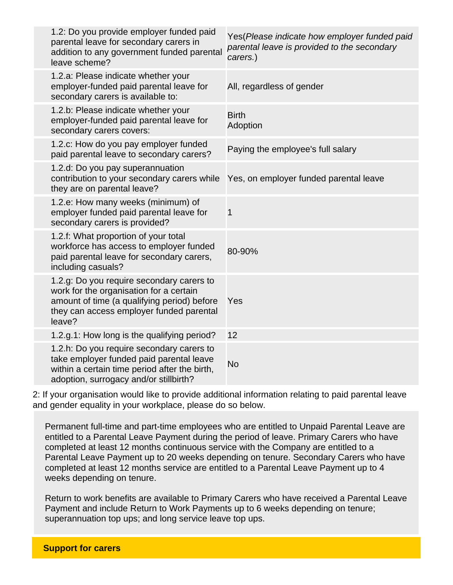| 1.2: Do you provide employer funded paid<br>parental leave for secondary carers in<br>addition to any government funded parental<br>leave scheme?                                         | Yes(Please indicate how employer funded paid<br>parental leave is provided to the secondary<br>carers.) |
|-------------------------------------------------------------------------------------------------------------------------------------------------------------------------------------------|---------------------------------------------------------------------------------------------------------|
| 1.2.a: Please indicate whether your<br>employer-funded paid parental leave for<br>secondary carers is available to:                                                                       | All, regardless of gender                                                                               |
| 1.2.b: Please indicate whether your<br>employer-funded paid parental leave for<br>secondary carers covers:                                                                                | <b>Birth</b><br>Adoption                                                                                |
| 1.2.c: How do you pay employer funded<br>paid parental leave to secondary carers?                                                                                                         | Paying the employee's full salary                                                                       |
| 1.2.d: Do you pay superannuation<br>contribution to your secondary carers while Yes, on employer funded parental leave<br>they are on parental leave?                                     |                                                                                                         |
| 1.2.e: How many weeks (minimum) of<br>employer funded paid parental leave for<br>secondary carers is provided?                                                                            | $\mathbf 1$                                                                                             |
| 1.2.f: What proportion of your total<br>workforce has access to employer funded<br>paid parental leave for secondary carers,<br>including casuals?                                        | 80-90%                                                                                                  |
| 1.2.g: Do you require secondary carers to<br>work for the organisation for a certain<br>amount of time (a qualifying period) before<br>they can access employer funded parental<br>leave? | Yes                                                                                                     |
| 1.2.g.1: How long is the qualifying period?                                                                                                                                               | 12                                                                                                      |
| 1.2.h: Do you require secondary carers to<br>take employer funded paid parental leave<br>within a certain time period after the birth,<br>adoption, surrogacy and/or stillbirth?          | <b>No</b>                                                                                               |

2: If your organisation would like to provide additional information relating to paid parental leave and gender equality in your workplace, please do so below.

Permanent full-time and part-time employees who are entitled to Unpaid Parental Leave are entitled to a Parental Leave Payment during the period of leave. Primary Carers who have completed at least 12 months continuous service with the Company are entitled to a Parental Leave Payment up to 20 weeks depending on tenure. Secondary Carers who have completed at least 12 months service are entitled to a Parental Leave Payment up to 4 weeks depending on tenure.

Return to work benefits are available to Primary Carers who have received a Parental Leave Payment and include Return to Work Payments up to 6 weeks depending on tenure; superannuation top ups; and long service leave top ups.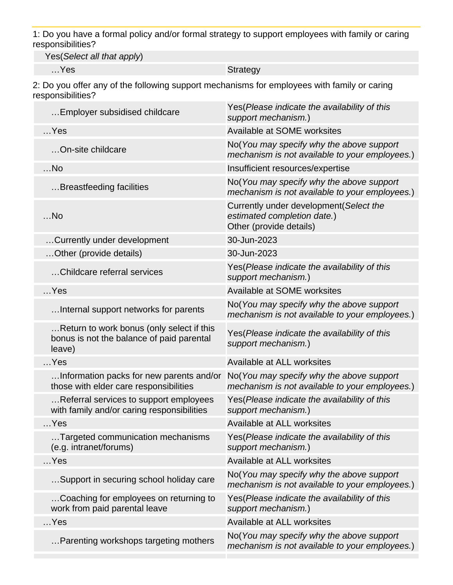1: Do you have a formal policy and/or formal strategy to support employees with family or caring responsibilities?

Yes(Select all that apply)

…Yes Strategy

2: Do you offer any of the following support mechanisms for employees with family or caring responsibilities?

| Employer subsidised childcare                                                                    | Yes (Please indicate the availability of this<br>support mechanism.)                              |
|--------------------------------------------------------------------------------------------------|---------------------------------------------------------------------------------------------------|
| $$ Yes                                                                                           | Available at SOME worksites                                                                       |
| On-site childcare                                                                                | No(You may specify why the above support<br>mechanism is not available to your employees.)        |
| $$ No                                                                                            | Insufficient resources/expertise                                                                  |
| Breastfeeding facilities                                                                         | No(You may specify why the above support<br>mechanism is not available to your employees.)        |
| $$ No                                                                                            | Currently under development (Select the<br>estimated completion date.)<br>Other (provide details) |
| Currently under development                                                                      | 30-Jun-2023                                                                                       |
| Other (provide details)                                                                          | 30-Jun-2023                                                                                       |
| Childcare referral services                                                                      | Yes (Please indicate the availability of this<br>support mechanism.)                              |
| $$ Yes                                                                                           | Available at SOME worksites                                                                       |
| Internal support networks for parents                                                            | No(You may specify why the above support<br>mechanism is not available to your employees.)        |
| Return to work bonus (only select if this<br>bonus is not the balance of paid parental<br>leave) | Yes (Please indicate the availability of this<br>support mechanism.)                              |
| $$ Yes                                                                                           | Available at ALL worksites                                                                        |
| Information packs for new parents and/or<br>those with elder care responsibilities               | No(You may specify why the above support<br>mechanism is not available to your employees.)        |
| Referral services to support employees<br>with family and/or caring responsibilities             | Yes (Please indicate the availability of this<br>support mechanism.)                              |
| $$ Yes                                                                                           | Available at ALL worksites                                                                        |
| Targeted communication mechanisms<br>(e.g. intranet/forums)                                      | Yes(Please indicate the availability of this<br>support mechanism.)                               |
| $$ Yes                                                                                           | Available at ALL worksites                                                                        |
| Support in securing school holiday care                                                          | No(You may specify why the above support<br>mechanism is not available to your employees.)        |
| Coaching for employees on returning to<br>work from paid parental leave                          | Yes(Please indicate the availability of this<br>support mechanism.)                               |
| $$ Yes                                                                                           | Available at ALL worksites                                                                        |
| Parenting workshops targeting mothers                                                            | No(You may specify why the above support<br>mechanism is not available to your employees.)        |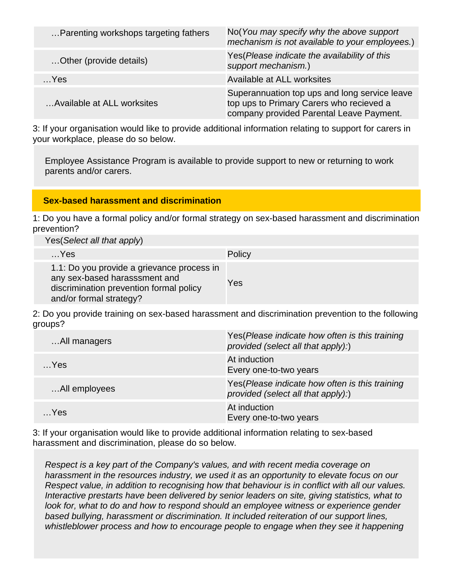| Parenting workshops targeting fathers | No(You may specify why the above support<br>mechanism is not available to your employees.)                                            |
|---------------------------------------|---------------------------------------------------------------------------------------------------------------------------------------|
| Other (provide details)               | Yes (Please indicate the availability of this<br>support mechanism.)                                                                  |
| $$ Yes                                | Available at ALL worksites                                                                                                            |
| Available at ALL worksites            | Superannuation top ups and long service leave<br>top ups to Primary Carers who recieved a<br>company provided Parental Leave Payment. |

3: If your organisation would like to provide additional information relating to support for carers in your workplace, please do so below.

Employee Assistance Program is available to provide support to new or returning to work parents and/or carers.

### **Sex-based harassment and discrimination**

1: Do you have a formal policy and/or formal strategy on sex-based harassment and discrimination prevention?

Yes(Select all that apply)

| $$ Yes                                                                                                                                            | Policy |
|---------------------------------------------------------------------------------------------------------------------------------------------------|--------|
| 1.1: Do you provide a grievance process in<br>any sex-based harasssment and<br>discrimination prevention formal policy<br>and/or formal strategy? | Yes    |

2: Do you provide training on sex-based harassment and discrimination prevention to the following groups?

| All managers  | Yes (Please indicate how often is this training<br>provided (select all that apply):) |
|---------------|---------------------------------------------------------------------------------------|
| $$ Yes        | At induction<br>Every one-to-two years                                                |
| All employees | Yes (Please indicate how often is this training<br>provided (select all that apply):) |
| $$ Yes        | At induction<br>Every one-to-two years                                                |

3: If your organisation would like to provide additional information relating to sex-based harassment and discrimination, please do so below.

Respect is a key part of the Company's values, and with recent media coverage on harassment in the resources industry, we used it as an opportunity to elevate focus on our Respect value, in addition to recognising how that behaviour is in conflict with all our values. Interactive prestarts have been delivered by senior leaders on site, giving statistics, what to look for, what to do and how to respond should an employee witness or experience gender based bullying, harassment or discrimination. It included reiteration of our support lines, whistleblower process and how to encourage people to engage when they see it happening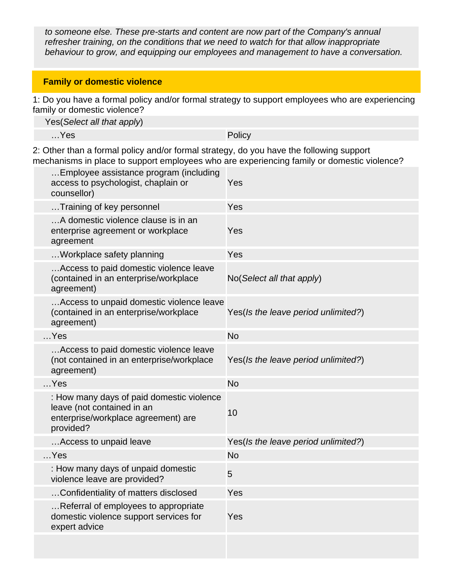to someone else. These pre-starts and content are now part of the Company's annual refresher training, on the conditions that we need to watch for that allow inappropriate behaviour to grow, and equipping our employees and management to have a conversation.

### **Family or domestic violence**

1: Do you have a formal policy and/or formal strategy to support employees who are experiencing family or domestic violence?

Yes(Select all that apply)

…Yes Policy

2: Other than a formal policy and/or formal strategy, do you have the following support mechanisms in place to support employees who are experiencing family or domestic violence?

| Employee assistance program (including<br>access to psychologist, chaplain or<br>counsellor)                                | Yes                                 |
|-----------------------------------------------------------------------------------------------------------------------------|-------------------------------------|
| Training of key personnel                                                                                                   | Yes                                 |
| A domestic violence clause is in an<br>enterprise agreement or workplace<br>agreement                                       | Yes                                 |
| Workplace safety planning                                                                                                   | Yes                                 |
| Access to paid domestic violence leave<br>(contained in an enterprise/workplace<br>agreement)                               | No(Select all that apply)           |
| Access to unpaid domestic violence leave<br>(contained in an enterprise/workplace<br>agreement)                             | Yes(Is the leave period unlimited?) |
| $$ Yes                                                                                                                      | <b>No</b>                           |
| Access to paid domestic violence leave<br>(not contained in an enterprise/workplace<br>agreement)                           | Yes(Is the leave period unlimited?) |
| $$ Yes                                                                                                                      | <b>No</b>                           |
| : How many days of paid domestic violence<br>leave (not contained in an<br>enterprise/workplace agreement) are<br>provided? | 10                                  |
| Access to unpaid leave                                                                                                      | Yes(Is the leave period unlimited?) |
| Yes                                                                                                                         | <b>No</b>                           |
| : How many days of unpaid domestic<br>violence leave are provided?                                                          | 5                                   |
| Confidentiality of matters disclosed                                                                                        | Yes                                 |
| Referral of employees to appropriate<br>domestic violence support services for<br>expert advice                             | Yes                                 |
|                                                                                                                             |                                     |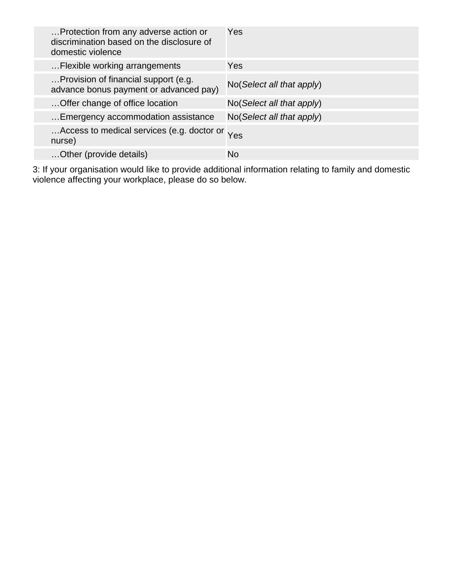| Protection from any adverse action or<br>discrimination based on the disclosure of<br>domestic violence | Yes                       |
|---------------------------------------------------------------------------------------------------------|---------------------------|
| Flexible working arrangements                                                                           | <b>Yes</b>                |
| Provision of financial support (e.g.<br>advance bonus payment or advanced pay)                          | No(Select all that apply) |
| Offer change of office location                                                                         | No(Select all that apply) |
| Emergency accommodation assistance                                                                      | No(Select all that apply) |
| Access to medical services (e.g. doctor or Yes<br>nurse)                                                |                           |
| Other (provide details)                                                                                 | No                        |

3: If your organisation would like to provide additional information relating to family and domestic violence affecting your workplace, please do so below.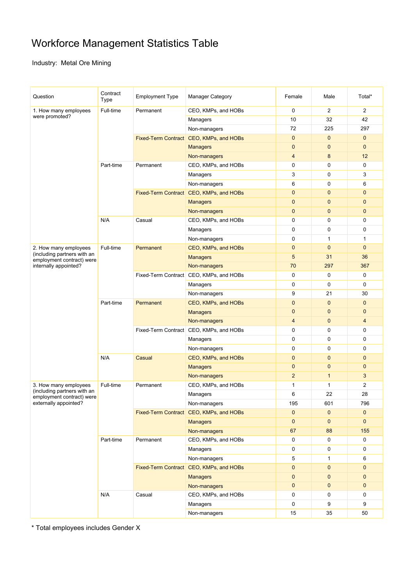# Workforce Management Statistics Table

Industry: Metal Ore Mining

| Question                                             | Contract<br>Type | <b>Employment Type</b>                  | <b>Manager Category</b>                 | Female         | Male           | Total*         |
|------------------------------------------------------|------------------|-----------------------------------------|-----------------------------------------|----------------|----------------|----------------|
| 1. How many employees                                | Full-time        | Permanent                               | CEO, KMPs, and HOBs                     | $\mathbf 0$    | $\overline{2}$ | $\overline{2}$ |
| were promoted?                                       |                  |                                         | Managers                                | 10             | 32             | 42             |
|                                                      |                  |                                         | Non-managers                            | 72             | 225            | 297            |
|                                                      |                  |                                         | Fixed-Term Contract CEO, KMPs, and HOBs | $\mathbf{0}$   | $\mathbf{0}$   | $\mathbf{0}$   |
|                                                      |                  |                                         | <b>Managers</b>                         | $\mathbf{0}$   | $\mathbf 0$    | $\mathbf{0}$   |
|                                                      |                  |                                         | Non-managers                            | $\overline{4}$ | 8              | 12             |
|                                                      | Part-time        | Permanent                               | CEO, KMPs, and HOBs                     | 0              | 0              | 0              |
|                                                      |                  |                                         | Managers                                | 3              | 0              | 3              |
|                                                      |                  |                                         | Non-managers                            | 6              | 0              | 6              |
|                                                      |                  |                                         | Fixed-Term Contract CEO, KMPs, and HOBs | $\mathbf{0}$   | $\mathbf{0}$   | $\mathbf{0}$   |
|                                                      |                  |                                         | <b>Managers</b>                         | $\mathbf{0}$   | $\mathbf 0$    | $\mathbf{0}$   |
|                                                      |                  |                                         | Non-managers                            | $\mathbf{0}$   | $\mathbf 0$    | $\mathbf{0}$   |
|                                                      | N/A              | Casual                                  | CEO, KMPs, and HOBs                     | 0              | 0              | 0              |
|                                                      |                  |                                         | Managers                                | $\mathbf 0$    | 0              | $\mathbf 0$    |
|                                                      |                  |                                         | Non-managers                            | $\mathbf 0$    | $\mathbf{1}$   | $\mathbf{1}$   |
| 2. How many employees                                | Full-time        | Permanent                               | CEO, KMPs, and HOBs                     | $\mathbf 0$    | $\mathbf 0$    | $\mathbf{0}$   |
| (including partners with an                          |                  |                                         | <b>Managers</b>                         | 5              | 31             | 36             |
| employment contract) were<br>internally appointed?   |                  |                                         | Non-managers                            | 70             | 297            | 367            |
|                                                      |                  |                                         | Fixed-Term Contract CEO, KMPs, and HOBs | $\mathbf 0$    | $\mathbf 0$    | 0              |
|                                                      |                  |                                         | Managers                                | $\mathbf 0$    | 0              | 0              |
|                                                      |                  |                                         | Non-managers                            | 9              | 21             | 30             |
|                                                      | Part-time        | Permanent                               | CEO, KMPs, and HOBs                     | $\mathbf{0}$   | $\mathbf 0$    | $\mathbf{0}$   |
|                                                      |                  |                                         | <b>Managers</b>                         | $\mathbf{0}$   | $\mathbf 0$    | $\mathbf 0$    |
|                                                      |                  |                                         | Non-managers                            | 4              | $\mathbf 0$    | $\overline{4}$ |
|                                                      |                  | Fixed-Term Contract CEO, KMPs, and HOBs |                                         | 0              | 0              | 0              |
|                                                      |                  |                                         | Managers                                | $\pmb{0}$      | 0              | 0              |
|                                                      |                  |                                         | Non-managers                            | $\mathbf 0$    | 0              | 0              |
|                                                      | N/A              | Casual                                  |                                         | $\mathbf{0}$   | $\mathbf 0$    | $\mathbf{0}$   |
|                                                      |                  |                                         | CEO, KMPs, and HOBs                     | $\mathbf{0}$   | 0              | $\mathbf{0}$   |
|                                                      |                  |                                         | <b>Managers</b>                         | $\overline{2}$ |                | 3              |
|                                                      |                  |                                         | Non-managers                            |                | $\mathbf{1}$   |                |
| 3. How many employees<br>(including partners with an | Full-time        | Permanent                               | CEO, KMPs, and HOBs                     | 1              | 1              | $\overline{2}$ |
| employment contract) were                            |                  |                                         | Managers                                | 6              | 22             | 28             |
| externally appointed?                                |                  |                                         | Non-managers                            | 195            | 601            | 796            |
|                                                      |                  |                                         | Fixed-Term Contract CEO, KMPs, and HOBs | $\mathbf{0}$   | $\mathbf 0$    | $\mathbf 0$    |
|                                                      |                  |                                         | <b>Managers</b>                         | $\mathbf{0}$   | $\mathbf 0$    | $\mathbf{0}$   |
|                                                      |                  |                                         | Non-managers                            | 67             | 88             | 155            |
|                                                      | Part-time        | Permanent                               | CEO, KMPs, and HOBs                     | 0              | 0              | 0              |
|                                                      |                  |                                         | Managers                                | 0              | 0              | 0              |
|                                                      |                  |                                         | Non-managers                            | 5              | 1              | 6              |
|                                                      |                  |                                         | Fixed-Term Contract CEO, KMPs, and HOBs | $\pmb{0}$      | 0              | $\mathbf{0}$   |
|                                                      |                  |                                         | <b>Managers</b>                         | $\pmb{0}$      | $\mathbf 0$    | $\mathbf{0}$   |
|                                                      |                  |                                         | Non-managers                            | $\mathbf{0}$   | $\mathbf 0$    | $\mathbf 0$    |
|                                                      | N/A              | Casual                                  | CEO, KMPs, and HOBs                     | 0              | 0              | 0              |
|                                                      |                  |                                         | Managers                                | 0              | 9              | 9              |
|                                                      |                  |                                         | Non-managers                            | 15             | 35             | 50             |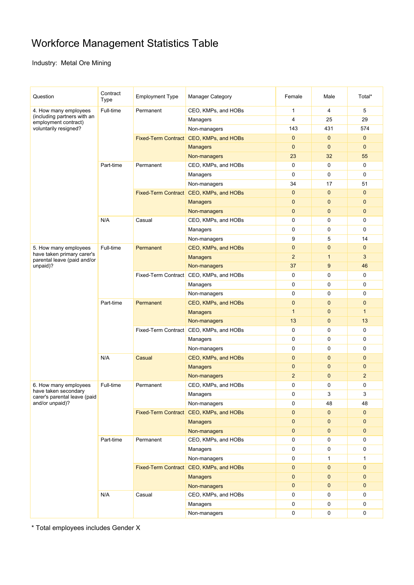# Workforce Management Statistics Table

Industry: Metal Ore Mining

| Question                                                  | Contract<br>Type | <b>Employment Type</b> | Manager Category                        | Female         | Male         | Total*         |
|-----------------------------------------------------------|------------------|------------------------|-----------------------------------------|----------------|--------------|----------------|
| 4. How many employees                                     | Full-time        | Permanent              | CEO, KMPs, and HOBs                     | 1              | 4            | 5              |
| (including partners with an<br>employment contract)       |                  |                        | Managers                                | $\overline{4}$ | 25           | 29             |
| voluntarily resigned?                                     |                  |                        | Non-managers                            | 143            | 431          | 574            |
|                                                           |                  |                        | Fixed-Term Contract CEO, KMPs, and HOBs | $\mathbf{0}$   | $\mathbf 0$  | $\mathbf{0}$   |
|                                                           |                  |                        | <b>Managers</b>                         | $\mathbf{0}$   | $\mathbf 0$  | $\mathbf{0}$   |
|                                                           |                  |                        | Non-managers                            | 23             | 32           | 55             |
|                                                           | Part-time        | Permanent              | CEO, KMPs, and HOBs                     | $\mathbf 0$    | 0            | 0              |
|                                                           |                  |                        | Managers                                | $\mathbf 0$    | $\mathbf 0$  | $\mathbf 0$    |
|                                                           |                  |                        | Non-managers                            | 34             | 17           | 51             |
|                                                           |                  |                        | Fixed-Term Contract CEO, KMPs, and HOBs | $\mathbf{0}$   | $\mathbf 0$  | $\mathbf{0}$   |
|                                                           |                  |                        | <b>Managers</b>                         | $\mathbf{0}$   | $\mathbf{0}$ | $\mathbf{0}$   |
|                                                           |                  |                        | Non-managers                            | $\mathbf{0}$   | $\mathbf 0$  | $\mathbf 0$    |
|                                                           | N/A              | Casual                 | CEO, KMPs, and HOBs                     | 0              | 0            | 0              |
|                                                           |                  |                        | Managers                                | $\mathbf 0$    | 0            | $\mathbf 0$    |
|                                                           |                  |                        | Non-managers                            | 9              | 5            | 14             |
| 5. How many employees                                     | Full-time        | Permanent              | CEO, KMPs, and HOBs                     | $\mathbf{0}$   | $\mathbf{0}$ | $\mathbf{0}$   |
| have taken primary carer's<br>parental leave (paid and/or |                  |                        | <b>Managers</b>                         | $\overline{2}$ | $\mathbf{1}$ | 3              |
| unpaid)?                                                  |                  |                        | Non-managers                            | 37             | 9            | 46             |
|                                                           |                  |                        | Fixed-Term Contract CEO, KMPs, and HOBs | $\mathbf 0$    | 0            | $\mathbf 0$    |
|                                                           |                  |                        | Managers                                | $\mathbf 0$    | 0            | 0              |
|                                                           |                  |                        | Non-managers                            | 0              | 0            | 0              |
|                                                           | Part-time        | Permanent              | CEO, KMPs, and HOBs                     | $\mathbf{0}$   | $\mathbf 0$  | $\mathbf{0}$   |
|                                                           |                  |                        | <b>Managers</b>                         | $\overline{1}$ | $\mathbf 0$  | 1              |
|                                                           |                  |                        | Non-managers                            | 13             | $\mathbf 0$  | 13             |
|                                                           |                  |                        | Fixed-Term Contract CEO, KMPs, and HOBs | 0              | 0            | 0              |
|                                                           |                  |                        | Managers                                | $\mathbf 0$    | 0            | 0              |
|                                                           |                  |                        | Non-managers                            | 0              | 0            | 0              |
|                                                           | N/A              | Casual                 | CEO, KMPs, and HOBs                     | $\mathbf{0}$   | $\mathbf 0$  | $\mathbf{0}$   |
|                                                           |                  |                        | <b>Managers</b>                         | $\mathbf{0}$   | $\mathbf 0$  | $\mathbf{0}$   |
|                                                           |                  |                        | Non-managers                            | $\overline{2}$ | $\mathbf{0}$ | $\overline{2}$ |
| 6. How many employees                                     | Full-time        | Permanent              | CEO, KMPs, and HOBs                     | 0              | 0            | 0              |
| have taken secondary<br>carer's parental leave (paid      |                  |                        | Managers                                | $\mathbf 0$    | 3            | 3              |
| and/or unpaid)?                                           |                  |                        | Non-managers                            | 0              | 48           | 48             |
|                                                           |                  |                        | Fixed-Term Contract CEO, KMPs, and HOBs | $\mathbf{0}$   | $\mathbf 0$  | $\mathbf{0}$   |
|                                                           |                  |                        | <b>Managers</b>                         | $\mathbf{0}$   | $\mathbf 0$  | $\mathbf 0$    |
|                                                           |                  |                        | Non-managers                            | $\mathbf{0}$   | $\mathbf 0$  | $\mathbf 0$    |
|                                                           | Part-time        | Permanent              | CEO, KMPs, and HOBs                     | 0              | 0            | 0              |
|                                                           |                  |                        | Managers                                | 0              | 0            | 0              |
|                                                           |                  |                        | Non-managers                            | 0              | 1            | 1              |
|                                                           |                  |                        | Fixed-Term Contract CEO, KMPs, and HOBs | $\mathbf{0}$   | $\mathbf 0$  | $\mathbf{0}$   |
|                                                           |                  |                        | <b>Managers</b>                         | $\mathbf{0}$   | $\mathbf 0$  | $\mathbf{0}$   |
|                                                           |                  |                        | Non-managers                            | $\mathbf{0}$   | 0            | $\pmb{0}$      |
|                                                           | N/A              | Casual                 | CEO, KMPs, and HOBs                     | 0              | 0            | 0              |
|                                                           |                  |                        | Managers                                | 0              | 0            | 0              |
|                                                           |                  |                        | Non-managers                            | 0              | 0            | 0              |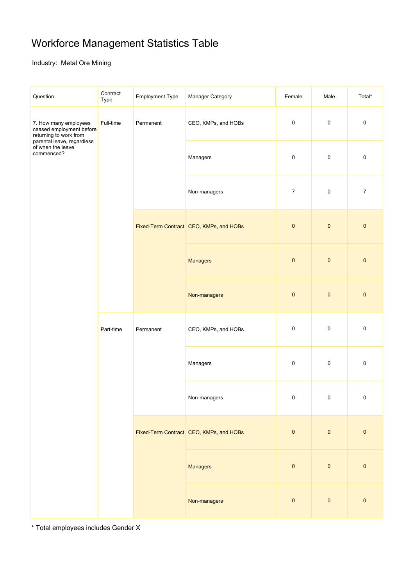# Workforce Management Statistics Table

### Industry: Metal Ore Mining

| Question                                                                                                                                     | Contract<br>Type | <b>Employment Type</b> | Manager Category                        | Female           | Male      | Total*           |           |
|----------------------------------------------------------------------------------------------------------------------------------------------|------------------|------------------------|-----------------------------------------|------------------|-----------|------------------|-----------|
| 7. How many employees<br>ceased employment before<br>returning to work from<br>parental leave, regardless<br>of when the leave<br>commenced? | Full-time        | Permanent              | CEO, KMPs, and HOBs                     | 0                | $\pmb{0}$ | $\pmb{0}$        |           |
|                                                                                                                                              |                  |                        | Managers                                |                  | 0         | $\pmb{0}$        | $\pmb{0}$ |
|                                                                                                                                              |                  |                        | Non-managers                            | $\boldsymbol{7}$ | $\pmb{0}$ | $\boldsymbol{7}$ |           |
|                                                                                                                                              |                  |                        | Fixed-Term Contract CEO, KMPs, and HOBs | $\pmb{0}$        | $\pmb{0}$ | $\pmb{0}$        |           |
|                                                                                                                                              |                  |                        | <b>Managers</b>                         | $\pmb{0}$        | $\pmb{0}$ | $\pmb{0}$        |           |
|                                                                                                                                              |                  |                        | Non-managers                            | $\pmb{0}$        | $\pmb{0}$ | $\pmb{0}$        |           |
|                                                                                                                                              | Part-time        | Permanent              | CEO, KMPs, and HOBs                     | $\pmb{0}$        | $\pmb{0}$ | $\pmb{0}$        |           |
|                                                                                                                                              |                  |                        | Managers                                | $\pmb{0}$        | $\pmb{0}$ | $\pmb{0}$        |           |
|                                                                                                                                              |                  |                        | Non-managers                            | $\Omega$         | $\Omega$  | $\Omega$         |           |
|                                                                                                                                              |                  |                        | Fixed-Term Contract CEO, KMPs, and HOBs | $\pmb{0}$        | $\pmb{0}$ | $\pmb{0}$        |           |
|                                                                                                                                              |                  |                        |                                         | Managers         | $\pmb{0}$ | $\pmb{0}$        | $\pmb{0}$ |
|                                                                                                                                              |                  |                        | Non-managers                            | $\pmb{0}$        | $\pmb{0}$ | $\pmb{0}$        |           |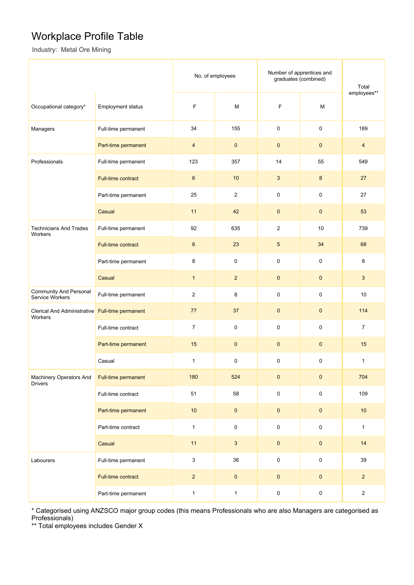## Workplace Profile Table

Industry: Metal Ore Mining

|                                                  |                     | No. of employees        |                | Number of apprentices and<br>graduates (combined) |                     | Total<br>employees** |
|--------------------------------------------------|---------------------|-------------------------|----------------|---------------------------------------------------|---------------------|----------------------|
| Occupational category*                           | Employment status   | $\mathsf F$             | M              | F                                                 | M                   |                      |
| Managers                                         | Full-time permanent | 34                      | 155            | 0                                                 | 0                   | 189                  |
|                                                  | Part-time permanent | $\overline{\mathbf{4}}$ | $\pmb{0}$      | $\mathbf 0$                                       | $\mathbf 0$         | $\overline{4}$       |
| Professionals                                    | Full-time permanent | 123                     | 357            | 14                                                | 55                  | 549                  |
|                                                  | Full-time contract  | $\,6\,$                 | 10             | $\mathbf{3}$                                      | $\bf 8$             | 27                   |
|                                                  | Part-time permanent | 25                      | $\mathbf 2$    | $\pmb{0}$                                         | $\pmb{0}$           | 27                   |
|                                                  | Casual              | 11                      | 42             | $\pmb{0}$                                         | $\pmb{0}$           | 53                   |
| <b>Technicians And Trades</b><br>Workers         | Full-time permanent | 92                      | 635            | $\overline{c}$                                    | 10                  | 739                  |
|                                                  | Full-time contract  | $\boldsymbol{6}$        | 23             | 5                                                 | 34                  | 68                   |
|                                                  | Part-time permanent | 8                       | 0              | $\pmb{0}$                                         | 0                   | 8                    |
|                                                  | Casual              | $\mathbf{1}$            | $\overline{2}$ | $\pmb{0}$                                         | $\pmb{0}$           | 3                    |
| <b>Community And Personal</b><br>Service Workers | Full-time permanent | $\overline{2}$          | 8              | $\pmb{0}$                                         | 0                   | 10                   |
| <b>Clerical And Administrative</b><br>Workers    | Full-time permanent | 77                      | 37             | $\pmb{0}$                                         | $\pmb{0}$           | 114                  |
|                                                  | Full-time contract  | $\overline{7}$          | $\pmb{0}$      | 0                                                 | $\pmb{0}$           | $\overline{7}$       |
|                                                  | Part-time permanent | 15                      | $\mathbf 0$    | $\pmb{0}$                                         | $\pmb{0}$           | 15                   |
|                                                  | Casual              | 1                       | $\pmb{0}$      | $\pmb{0}$                                         | 0                   | $\mathbf{1}$         |
| Machinery Operators And<br><b>Drivers</b>        | Full-time permanent | 180                     | 524            | $\pmb{0}$                                         | $\pmb{0}$           | 704                  |
|                                                  | Full-time contract  | 51                      | 58             | $\pmb{0}$                                         | $\mathsf{O}\xspace$ | 109                  |
|                                                  | Part-time permanent | $10$                    | $\pmb{0}$      | $\pmb{0}$                                         | $\pmb{0}$           | $10$                 |
|                                                  | Part-time contract  | $\mathbf{1}$            | $\mathsf 0$    | $\pmb{0}$                                         | $\mathsf 0$         | $\mathbf{1}$         |
|                                                  | Casual              | 11                      | $\mathbf{3}$   | $\pmb{0}$                                         | $\pmb{0}$           | 14                   |
| Labourers                                        | Full-time permanent | $\sqrt{3}$              | 36             | $\pmb{0}$                                         | $\mathsf{O}\xspace$ | 39                   |
|                                                  | Full-time contract  | $\overline{2}$          | $\pmb{0}$      | $\pmb{0}$                                         | $\pmb{0}$           | $\overline{2}$       |
|                                                  | Part-time permanent | $\mathbf{1}$            | $\mathbf{1}$   | $\pmb{0}$                                         | $\pmb{0}$           | $\overline{c}$       |

\* Categorised using ANZSCO major group codes (this means Professionals who are also Managers are categorised as Professionals)